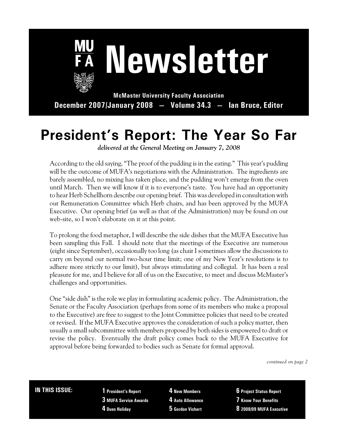

 **Newsletter**

**McMaster University Faculty Association December 2007/January 2008 — Volume 34.3 — Ian Bruce, Editor**

# **President's Report: The Year So Far**

*delivered at the General Meeting on January 7, 2008*

According to the old saying, "The proof of the pudding is in the eating." This year's pudding will be the outcome of MUFA's negotiations with the Administration. The ingredients are barely assembled, no mixing has taken place, and the pudding won't emerge from the oven until March. Then we will know if it is to everyone's taste. You have had an opportunity to hear Herb Schellhorn describe our opening brief. This was developed in consultation with our Remuneration Committee which Herb chairs, and has been approved by the MUFA Executive. Our opening brief (as well as that of the Administration) may be found on our web-site, so I won't elaborate on it at this point.

To prolong the food metaphor, I will describe the side dishes that the MUFA Executive has been sampling this Fall. I should note that the meetings of the Executive are numerous (eight since September), occasionally too long (as chair I sometimes allow the discussions to carry on beyond our normal two-hour time limit; one of my New Year's resolutions is to adhere more strictly to our limit), but always stimulating and collegial. It has been a real pleasure for me, and I believe for all of us on the Executive, to meet and discuss McMaster's challenges and opportunities.

One "side dish" is the role we play in formulating academic policy. The Administration, the Senate or the Faculty Association (perhaps from some of its members who make a proposal to the Executive) are free to suggest to the Joint Committee policies that need to be created or revised. If the MUFA Executive approves the consideration of such a policy matter, then usually a small subcommittee with members proposed by both sides is empowered to draft or revise the policy. Eventually the draft policy comes back to the MUFA Executive for approval before being forwarded to bodies such as Senate for formal approval.

*continued on page 2*

### **IN THIS ISSUE: 1 President's Report**

**3 MUFA Service Awards 4 Dues Holiday**

**4 New Members**

- **4 Auto Allowance**
- **5 Gordon Vichert**

**6 Project Status Report**

- **7 Know Your Benefits**
- **8 2008/09 MUFA Executive**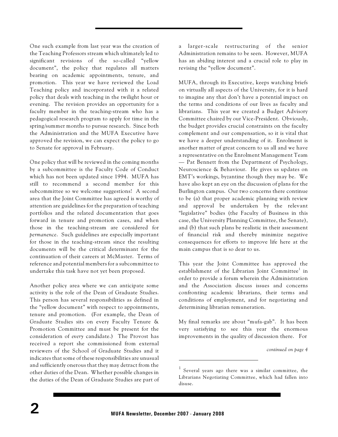One such example from last year was the creation of the Teaching Professors stream which ultimately led to significant revisions of the so-called "yellow document", the policy that regulates all matters bearing on academic appointments, tenure, and promotion. This year we have reviewed the Load Teaching policy and incorporated with it a related policy that deals with teaching in the twilight hour or evening. The revision provides an opportunity for a faculty member in the teaching-stream who has a pedagogical research program to apply for time in the spring/summer months to pursue research. Since both the Administration and the MUFA Executive have approved the revision, we can expect the policy to go to Senate for approval in February.

One policy that will be reviewed in the coming months by a subcommittee is the Faculty Code of Conduct which has not been updated since 1994. MUFA has still to recommend a second member for this subcommittee so we welcome suggestions! A second area that the Joint Committee has agreed is worthy of attention are guidelines for the preparation of teaching portfolios and the related documentation that goes forward in tenure and promotion cases, and when those in the teaching-stream are considered for *permanence*. Such guidelines are especially important for those in the teaching-stream since the resulting documents will be the critical determinant for the continuation of their careers at McMaster. Terms of reference and potential members for a subcommittee to undertake this task have not yet been proposed.

Another policy area where we can anticipate some activity is the role of the Dean of Graduate Studies. This person has several responsibilities as defined in the "yellow document" with respect to appointments, tenure and promotion. (For example, the Dean of Graduate Studies sits on every Faculty Tenure & Promotion Committee and must be present for the consideration of *every* candidate.) The Provost has received a report she commissioned from external reviewers of the School of Graduate Studies and it indicates that some of these responsibilities are unusual and sufficiently onerous that they may detract from the other duties of the Dean. Whether possible changes in the duties of the Dean of Graduate Studies are part of a larger-scale restructuring of the senior Administration remains to be seen. However, MUFA has an abiding interest and a crucial role to play in revising the "yellow document".

MUFA, through its Executive, keeps watching briefs on virtually all aspects of the University, for it is hard to imagine any that don't have a potential impact on the terms and conditions of our lives as faculty and librarians. This year we created a Budget Advisory Committee chaired by our Vice-President. Obviously, the budget provides crucial constraints on the faculty complement and our compensation, so it is vital that we have a deeper understanding of it. Enrolment is another matter of great concern to us all and we have a representative on the Enrolment Management Team — Pat Bennett from the Department of Psychology, Neuroscience & Behaviour. He gives us updates on EMT's workings, byzantine though they may be. We have also kept an eye on the discussion of plans for the Burlington campus. Our two concerns there continue to be (a) that proper academic planning with review and approval be undertaken by the relevant "legislative" bodies (the Faculty of Business in this case, the University Planning Committee, the Senate), and (b) that such plans be realistic in their assessment of financial risk and thereby minimize negative consequences for efforts to improve life here at the main campus that is so dear to us.

This year the Joint Committee has approved the establishment of the Librarian Joint Committee<sup>1</sup> in order to provide a forum wherein the Administration and the Association discuss issues and concerns confronting academic librarians, their terms and conditions of employment, and for negotiating and determining librarian remuneration.

My final remarks are about "mufa-gab". It has been very satisfying to see this year the enormous improvements in the quality of discussion there. For

*continued on page 4*

 $1$  Several years ago there was a similar committee, the Librarians Negotiating Committee, which had fallen into disuse.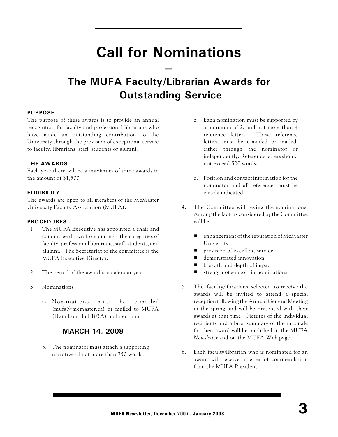# **Call for Nominations**

**—**

# **The MUFA Faculty/Librarian Awards for Outstanding Service**

### **PURPOSE**

The purpose of these awards is to provide an annual recognition for faculty and professional librarians who have made an outstanding contribution to the University through the provision of exceptional service to faculty, librarians, staff, students or alumni.

### **THE AWARDS**

Each year there will be a maximum of three awards in the amount of \$1,500.

### **ELIGIBILITY**

The awards are open to all members of the McMaster University Faculty Association (MUFA).

#### **PROCEDURES**

- 1. The MUFA Executive has appointed a chair and committee drawn from amongst the categories of faculty, professional librarians, staff, students, and alumni. The Secretariat to the committee is the MUFA Executive Director.
- 2. The period of the award is a calendar year.
- 3. Nominations
	- a. Nominations must be e-mailed  $(mufa@mcmaster.ca)$  or mailed to MUFA (Hamilton Hall 103A) no later than

### **MARCH 14, 2008**

b. The nominator must attach a supporting narrative of not more than 750 words.

- c. Each nomination must be supported by a minimum of 2, and not more than 4 reference letters. These reference letters must be e-mailed or mailed, either through the nominator or independently. Reference letters should not exceed 500 words.
- d. Position and contact information for the nominator and all references must be clearly indicated.
- 4. The Committee will review the nominations. Among the factors considered by the Committee will be:
	- $\blacksquare$  enhancement of the reputation of McMaster University
	- provision of excellent service
	- demonstrated innovation
	- breadth and depth of impact
	- $\blacksquare$  strength of support in nominations
- 5. The faculty/librarians selected to receive the awards will be invited to attend a special reception following the Annual General Meeting in the spring and will be presented with their awards at that time. Pictures of the individual recipients and a brief summary of the rationale for their award will be published in the MUFA *Newsletter* and on the MUFA Web page.
- 6. Each faculty/librarian who is nominated for an award will receive a letter of commendation from the MUFA President.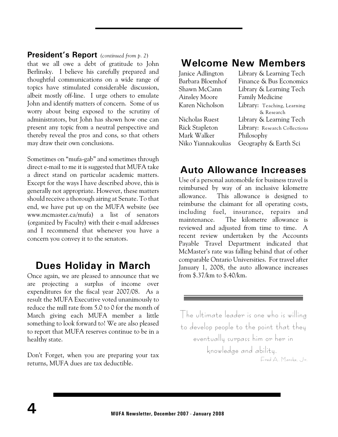### **President's Report** *(continued from p. 2*)

that we all owe a debt of gratitude to John Berlinsky. I believe his carefully prepared and thoughtful communications on a wide range of topics have stimulated considerable discussion, albeit mostly off-line. I urge others to emulate John and identify matters of concern. Some of us worry about being exposed to the scrutiny of administrators, but John has shown how one can present any topic from a neutral perspective and thereby reveal the pros and cons, so that others may draw their own conclusions.

Sometimes on "mufa-gab" and sometimes through direct e-mail to me it is suggested that MUFA take a direct stand on particular academic matters. Except for the ways I have described above, this is generally not appropriate. However, these matters should receive a thorough airing at Senate. To that end, we have put up on the MUFA website (see www.mcmaster.ca/mufa) a list of senators (organized by Faculty) with their e-mail addresses and I recommend that whenever you have a concern you convey it to the senators.

# **Dues Holiday in March**

Once again, we are pleased to announce that we are projecting a surplus of income over expenditures for the fiscal year 2007/08. As a result the MUFA Executive voted unanimously to reduce the mill rate from 5.0 to 0 for the month of March giving each MUFA member a little something to look forward to! We are also pleased to report that MUFA reserves continue to be in a healthy state.

Don't Forget, when you are preparing your tax returns, MUFA dues are tax deductible.

## **Welcome New Members**

| Library & Learning Tech       |
|-------------------------------|
| Finance & Bus Economics       |
| Library & Learning Tech       |
| <b>Family Medicine</b>        |
| Library: Teaching, Learning   |
| & Research                    |
| Library & Learning Tech       |
| Library: Research Collections |
| Philosophy                    |
| Geography & Earth Sci         |
|                               |

## **Auto Allowance Increases**

Use of a personal automobile for business travel is reimbursed by way of an inclusive kilometre allowance. This allowance is designed to reimburse the claimant for all operating costs, including fuel, insurance, repairs and maintenance. The kilometre allowance is reviewed and adjusted from time to time. A recent review undertaken by the Accounts Payable Travel Department indicated that McMaster's rate was falling behind that of other comparable Ontario Universities. For travel after January 1, 2008, the auto allowance increases from \$.37/km to \$.40/km.

The ultimate leader is one who is willing to develop people to the point that they eventually surpass him or her in knowledge and ability. Fred A. Manske, Jr.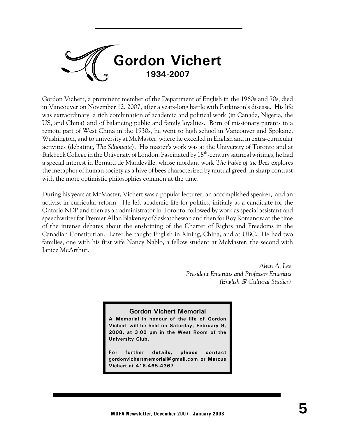

Gordon Vichert, a prominent member of the Department of English in the 1960s and 70s, died in Vancouver on November 12, 2007, after a years-long battle with Parkinson's disease. His life was extraordinary, a rich combination of academic and political work (in Canada, Nigeria, the US, and China) and of balancing public and family loyalties. Born of missionary parents in a remote part of West China in the 1930s, he went to high school in Vancouver and Spokane, Washington, and to university at McMaster, where he excelled in English and in extra-curricular activities (debating, *The Silhouette*). His master's work was at the University of Toronto and at Birkbeck College in the University of London. Fascinated by 18<sup>th</sup>-century satirical writings, he had a special interest in Bernard de Mandeville, whose mordant work *The Fable of the Bees* explores the metaphor of human society as a hive of bees characterized by mutual greed, in sharp contrast with the more optimistic philosophies common at the time.

During his years at McMaster, Vichert was a popular lecturer, an accomplished speaker, and an activist in curricular reform. He left academic life for politics, initially as a candidate for the Ontario NDP and then as an administrator in Toronto, followed by work as special assistant and speechwriter for Premier Allan Blakeney of Saskatchewan and then for Roy Romanow at the time of the intense debates about the enshrining of the Charter of Rights and Freedoms in the Canadian Constitution. Later he taught English in Xining, China, and at UBC. He had two families, one with his first wife Nancy Nablo, a fellow student at McMaster, the second with Janice McArthur.

> *Alvin A. Lee President Emeritus and Professor Emeritus (English & Cultural Studies)*

#### **Gordon Vichert Memorial**

**A Memorial in honour of the life of Gordon Vichert will be held on Saturday, February 9, 2008, at 3:00 pm in the West Room of the University Club.**

**For further details, please contact gordonvichertmemorial@gmail.com or Marcus Vichert at 416-465-4367**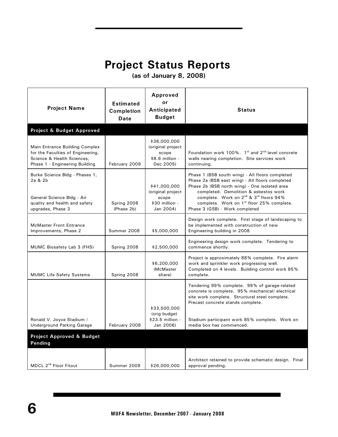# **Project Status Reports**

 **(as of January 8, 2008)**

| <b>Project Name</b>                                                                                                                 | <b>Estimated</b><br><b>Completion</b><br>Date | Approved<br>or<br>Anticipated<br><b>Budget</b>                             | <b>Status</b>                                                                                                                                                                                                                                                                                                                                             |
|-------------------------------------------------------------------------------------------------------------------------------------|-----------------------------------------------|----------------------------------------------------------------------------|-----------------------------------------------------------------------------------------------------------------------------------------------------------------------------------------------------------------------------------------------------------------------------------------------------------------------------------------------------------|
| Project & Budget Approved                                                                                                           |                                               |                                                                            |                                                                                                                                                                                                                                                                                                                                                           |
| Main Entrance Building Complex<br>for the Faculties of Engineering,<br>Science & Health Sciences,<br>Phase 1 - Engineering Building | February 2009                                 | \$38,000,000<br>(original project<br>scope<br>\$8.6 million -<br>Dec 2005) | Foundation work 100%. 1st and 2 <sup>nd</sup> level concrete<br>walls nearing completion. Site services work<br>continuing.                                                                                                                                                                                                                               |
| Burke Science Bldg - Phases 1,<br>2a & 2b<br>General Science Bldg - Air<br>quality and health and safety<br>upgrades, Phase 3       | Spring 2008<br>(Phase 2b)                     | \$41,000,000<br>(original project<br>scope<br>\$30 million -<br>Jan 2004)  | Phase 1 (BSB south wing) - All floors completed<br>Phase 2a (BSB east wing) - All floors completed<br>Phase 2b (BSB north wing) - One isolated area<br>completed. Demolition & asbestos work<br>complete. Work on 2 <sup>nd</sup> & 3 <sup>rd</sup> floors 94%<br>complete. Work on 1 <sup>st</sup> floor 25% complete.<br>Phase 3 (GSB) - Work completed |
| <b>McMaster Front Entrance</b><br>Improvements, Phase 2                                                                             | Summer 2008                                   | \$5,000,000                                                                | Design work complete. First stage of landscaping to<br>be implemented with construction of new<br>Engineering building in 2008                                                                                                                                                                                                                            |
| MUMC Biosafety Lab 3 (FHS)                                                                                                          | Spring 2008                                   | \$2,500,000                                                                | Engineering design work complete. Tendering to<br>commence shortly.                                                                                                                                                                                                                                                                                       |
| <b>MUMC Life Safety Systems</b>                                                                                                     | Spring 2008                                   | \$6,200,000<br>(McMaster<br>share)                                         | Project is approximately 88% complete. Fire alarm<br>work and sprinkler work progressing well.<br>Completed on 4 levels. Building control work 85%<br>complete.                                                                                                                                                                                           |
| Ronald V. Joyce Stadium /<br><b>Underground Parking Garage</b>                                                                      | February 2008                                 | \$33,500,000<br>(orig budget<br>\$23.5 million -<br>Jan 2006)              | Tendering 99% complete. 99% of garage-related<br>concrete is complete. 95% mechanical/electrical<br>site work complete. Structural steel complete.<br>Precast concrete stands complete.<br>Stadium participant work 85% complete. Work on<br>media box has commenced.                                                                                     |
| <b>Project Approved &amp; Budget</b>                                                                                                |                                               |                                                                            |                                                                                                                                                                                                                                                                                                                                                           |
| Pending                                                                                                                             |                                               |                                                                            |                                                                                                                                                                                                                                                                                                                                                           |
| MDCL 2 <sup>nd</sup> Floor Fitout                                                                                                   | Summer 2009                                   | \$26,000,000                                                               | Architect retained to provide schematic design. Final<br>approval pending.                                                                                                                                                                                                                                                                                |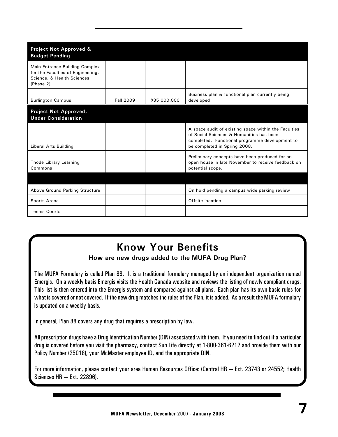| Project Not Approved &<br><b>Budget Pending</b>                                                                |                  |              |                                                                                                                                                                                    |
|----------------------------------------------------------------------------------------------------------------|------------------|--------------|------------------------------------------------------------------------------------------------------------------------------------------------------------------------------------|
| Main Entrance Building Complex<br>for the Faculties of Engineering,<br>Science, & Health Sciences<br>(Phase 2) |                  |              |                                                                                                                                                                                    |
| <b>Burlington Campus</b>                                                                                       | <b>Fall 2009</b> | \$35,000,000 | Business plan & functional plan currently being<br>developed                                                                                                                       |
| Project Not Approved,<br><b>Under Consideration</b>                                                            |                  |              |                                                                                                                                                                                    |
| Liberal Arts Building                                                                                          |                  |              | A space audit of existing space within the Faculties<br>of Social Sciences & Humanities has been<br>completed. Functional programme development to<br>be completed in Spring 2008. |
| Thode Library Learning<br>Commons                                                                              |                  |              | Preliminary concepts have been produced for an<br>open house in late November to receive feedback on<br>potential scope.                                                           |
|                                                                                                                |                  |              |                                                                                                                                                                                    |
| Above Ground Parking Structure                                                                                 |                  |              | On hold pending a campus wide parking review                                                                                                                                       |
| Sports Arena                                                                                                   |                  |              | Offsite location                                                                                                                                                                   |
| <b>Tennis Courts</b>                                                                                           |                  |              |                                                                                                                                                                                    |

# **Know Your Benefits**

### **How are new drugs added to the MUFA Drug Plan?**

The MUFA Formulary is called Plan 88. It is a traditional formulary managed by an independent organization named Emergis. On a weekly basis Emergis visits the Health Canada website and reviews the listing of newly compliant drugs. This list is then entered into the Emergis system and compared against all plans. Each plan has its own basic rules for what is covered or not covered. If the new drug matches the rules of the Plan, it is added. As a result the MUFA formulary is updated on a weekly basis.

In general, Plan 88 covers any drug that requires a prescription by law.

All prescription drugs have a Drug Identification Number (DIN) associated with them. If you need to find out if a particular drug is covered before you visit the pharmacy, contact Sun Life directly at 1-800-361-6212 and provide them with our Policy Number (25018), your McMaster employee ID, and the appropriate DIN.

For more information, please contact your area Human Resources Office: (Central HR — Ext. 23743 or 24552; Health Sciences HR — Ext. 22896).